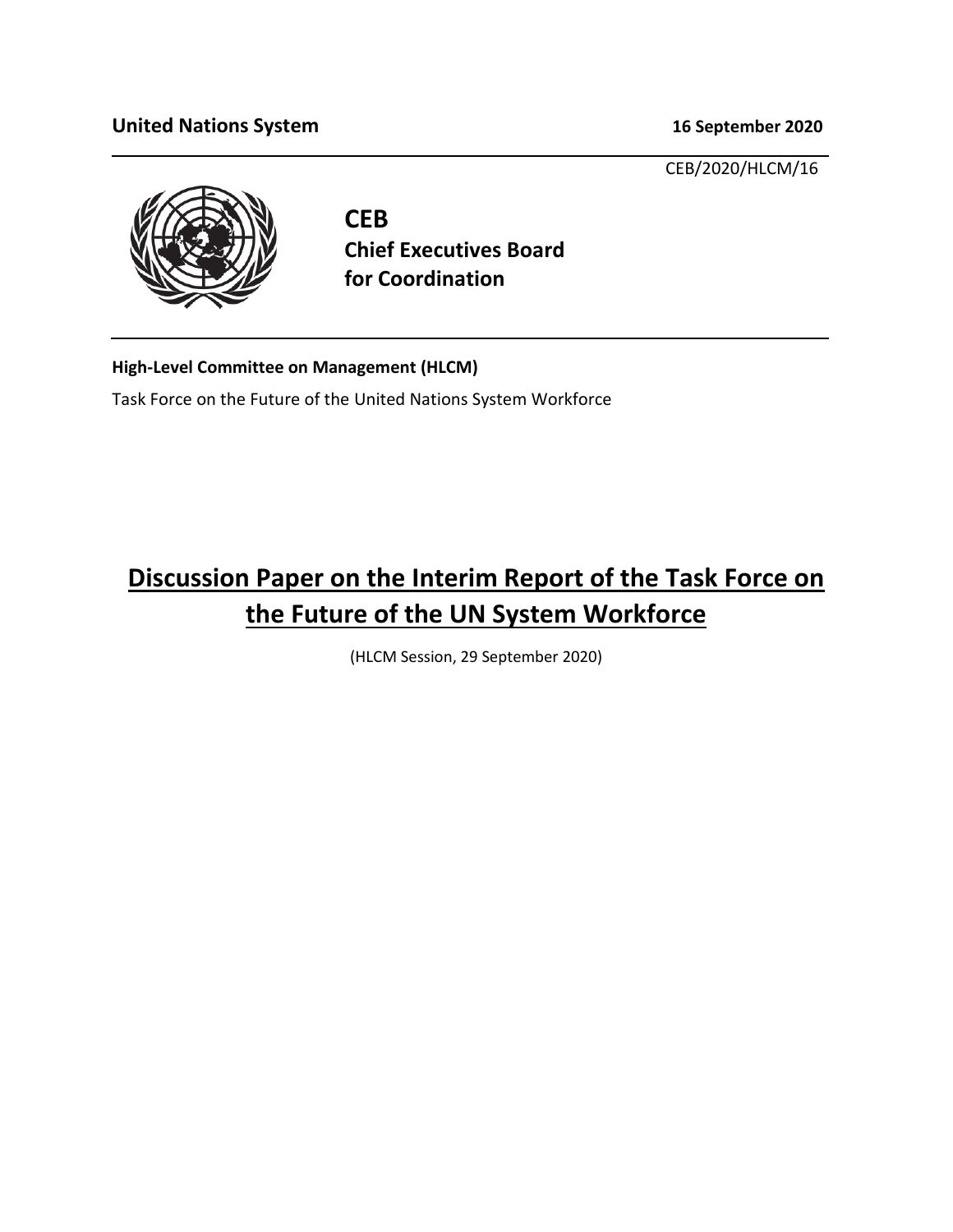### **United Nations System 16 September 2020**

CEB/2020/HLCM/16



**CEB Chief Executives Board for Coordination**

**High-Level Committee on Management (HLCM)**

Task Force on the Future of the United Nations System Workforce

# **Discussion Paper on the Interim Report of the Task Force on the Future of the UN System Workforce**

(HLCM Session, 29 September 2020)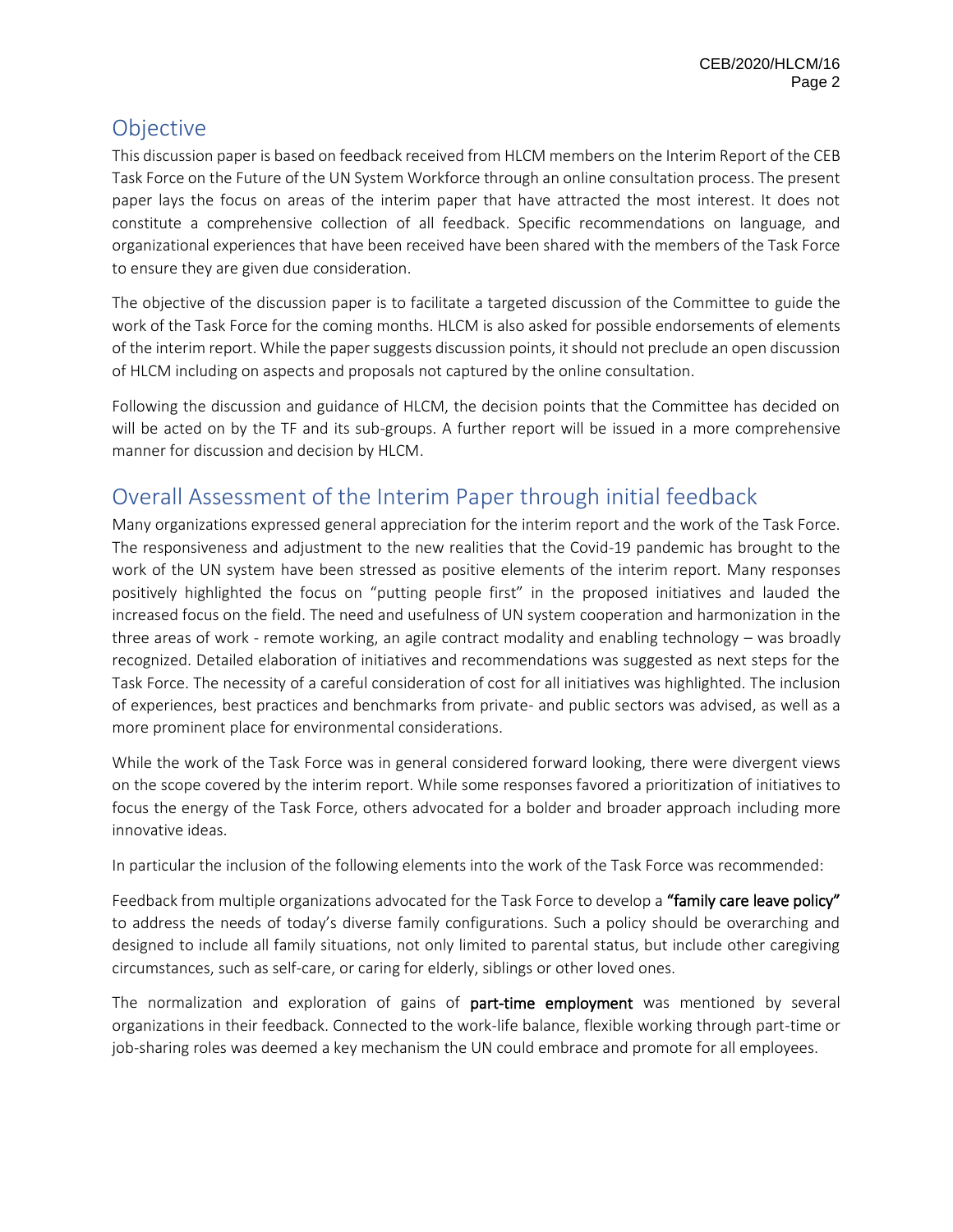# **Objective**

This discussion paper is based on feedback received from HLCM members on the Interim Report of the CEB Task Force on the Future of the UN System Workforce through an online consultation process. The present paper lays the focus on areas of the interim paper that have attracted the most interest. It does not constitute a comprehensive collection of all feedback. Specific recommendations on language, and organizational experiences that have been received have been shared with the members of the Task Force to ensure they are given due consideration.

The objective of the discussion paper is to facilitate a targeted discussion of the Committee to guide the work of the Task Force for the coming months. HLCM is also asked for possible endorsements of elements of the interim report. While the paper suggests discussion points, it should not preclude an open discussion of HLCM including on aspects and proposals not captured by the online consultation.

Following the discussion and guidance of HLCM, the decision points that the Committee has decided on will be acted on by the TF and its sub-groups. A further report will be issued in a more comprehensive manner for discussion and decision by HLCM.

# Overall Assessment of the Interim Paper through initial feedback

Many organizations expressed general appreciation for the interim report and the work of the Task Force. The responsiveness and adjustment to the new realities that the Covid-19 pandemic has brought to the work of the UN system have been stressed as positive elements of the interim report. Many responses positively highlighted the focus on "putting people first" in the proposed initiatives and lauded the increased focus on the field. The need and usefulness of UN system cooperation and harmonization in the three areas of work - remote working, an agile contract modality and enabling technology – was broadly recognized. Detailed elaboration of initiatives and recommendations was suggested as next steps for the Task Force. The necessity of a careful consideration of cost for all initiatives was highlighted. The inclusion of experiences, best practices and benchmarks from private- and public sectors was advised, as well as a more prominent place for environmental considerations.

While the work of the Task Force was in general considered forward looking, there were divergent views on the scope covered by the interim report. While some responses favored a prioritization of initiatives to focus the energy of the Task Force, others advocated for a bolder and broader approach including more innovative ideas.

In particular the inclusion of the following elements into the work of the Task Force was recommended:

Feedback from multiple organizations advocated for the Task Force to develop a "family care leave policy" to address the needs of today's diverse family configurations. Such a policy should be overarching and designed to include all family situations, not only limited to parental status, but include other caregiving circumstances, such as self-care, or caring for elderly, siblings or other loved ones.

The normalization and exploration of gains of part-time employment was mentioned by several organizations in their feedback. Connected to the work-life balance, flexible working through part-time or job-sharing roles was deemed a key mechanism the UN could embrace and promote for all employees.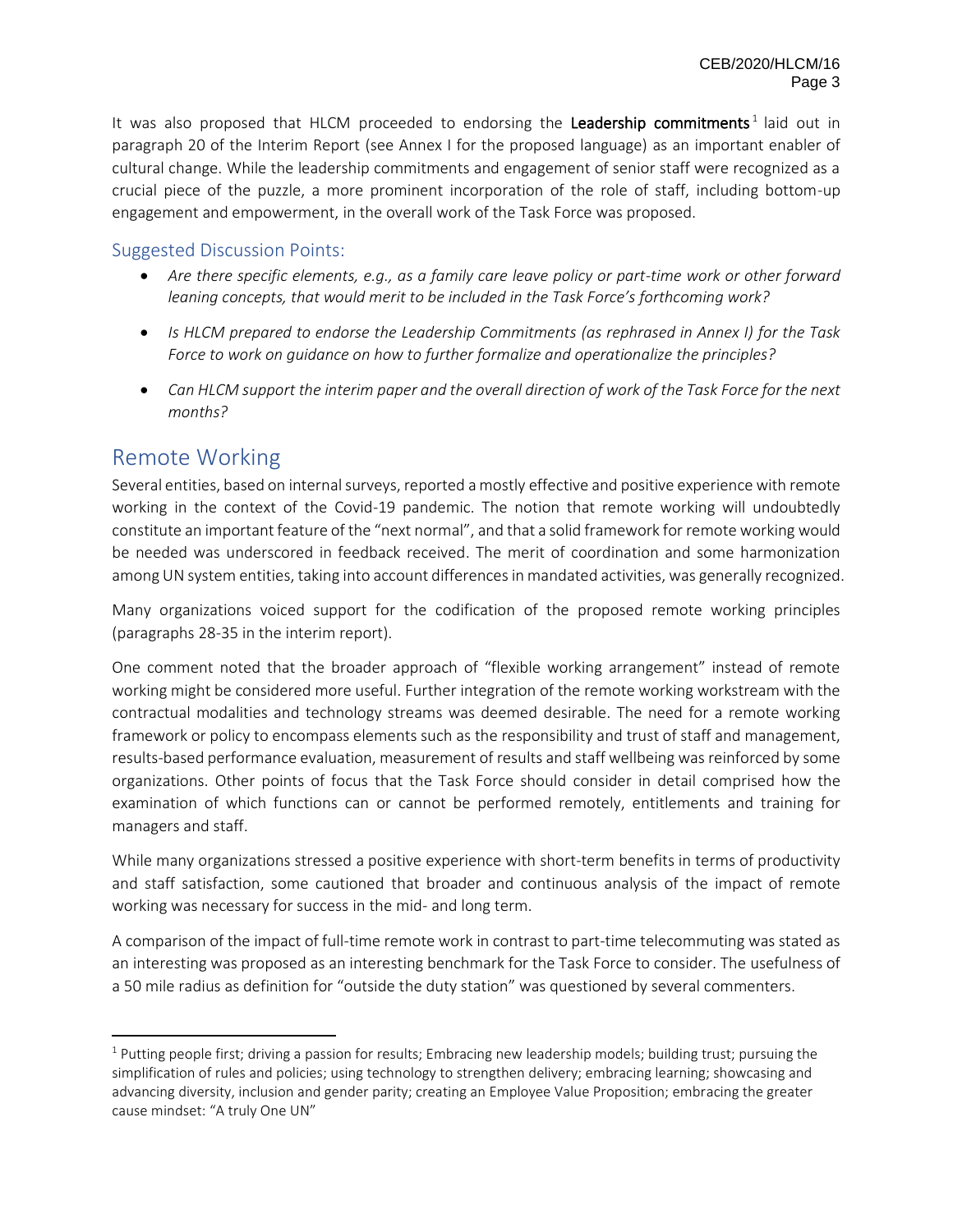It was also proposed that HLCM proceeded to endorsing the Leadership commitments<sup>1</sup> laid out in paragraph 20 of the Interim Report (see Annex I for the proposed language) as an important enabler of cultural change. While the leadership commitments and engagement of senior staff were recognized as a crucial piece of the puzzle, a more prominent incorporation of the role of staff, including bottom-up engagement and empowerment, in the overall work of the Task Force was proposed.

#### Suggested Discussion Points:

- *Are there specific elements, e.g., as a family care leave policy or part-time work or other forward leaning concepts, that would merit to be included in the Task Force's forthcoming work?*
- *Is HLCM prepared to endorse the Leadership Commitments (as rephrased in Annex I) for the Task Force to work on guidance on how to further formalize and operationalize the principles?*
- *Can HLCM support the interim paper and the overall direction of work of the Task Force for the next months?*

### Remote Working

Several entities, based on internal surveys, reported a mostly effective and positive experience with remote working in the context of the Covid-19 pandemic. The notion that remote working will undoubtedly constitute an important feature of the "next normal", and that a solid framework for remote working would be needed was underscored in feedback received. The merit of coordination and some harmonization among UN system entities, taking into account differences in mandated activities, was generally recognized.

Many organizations voiced support for the codification of the proposed remote working principles (paragraphs 28-35 in the interim report).

One comment noted that the broader approach of "flexible working arrangement" instead of remote working might be considered more useful. Further integration of the remote working workstream with the contractual modalities and technology streams was deemed desirable. The need for a remote working framework or policy to encompass elements such as the responsibility and trust of staff and management, results-based performance evaluation, measurement of results and staff wellbeing was reinforced by some organizations. Other points of focus that the Task Force should consider in detail comprised how the examination of which functions can or cannot be performed remotely, entitlements and training for managers and staff.

While many organizations stressed a positive experience with short-term benefits in terms of productivity and staff satisfaction, some cautioned that broader and continuous analysis of the impact of remote working was necessary for success in the mid- and long term.

A comparison of the impact of full-time remote work in contrast to part-time telecommuting was stated as an interesting was proposed as an interesting benchmark for the Task Force to consider. The usefulness of a 50 mile radius as definition for "outside the duty station" was questioned by several commenters.

 $1$  Putting people first; driving a passion for results; Embracing new leadership models; building trust; pursuing the simplification of rules and policies; using technology to strengthen delivery; embracing learning; showcasing and advancing diversity, inclusion and gender parity; creating an Employee Value Proposition; embracing the greater cause mindset: "A truly One UN"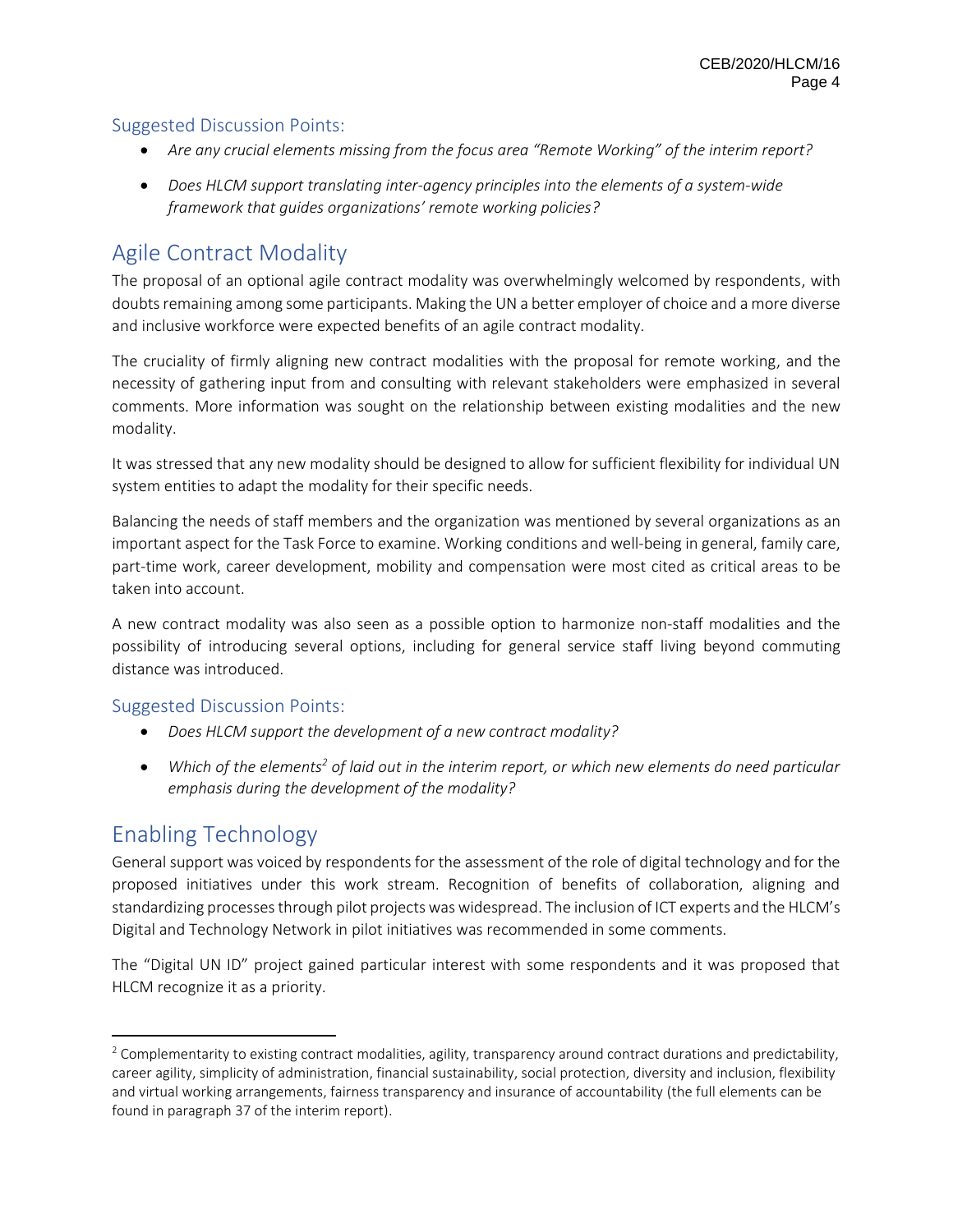#### Suggested Discussion Points:

- *Are any crucial elements missing from the focus area "Remote Working" of the interim report?*
- *Does HLCM support translating inter-agency principles into the elements of a system-wide framework that guides organizations' remote working policies?*

# Agile Contract Modality

The proposal of an optional agile contract modality was overwhelmingly welcomed by respondents, with doubts remaining among some participants. Making the UN a better employer of choice and a more diverse and inclusive workforce were expected benefits of an agile contract modality.

The cruciality of firmly aligning new contract modalities with the proposal for remote working, and the necessity of gathering input from and consulting with relevant stakeholders were emphasized in several comments. More information was sought on the relationship between existing modalities and the new modality.

It was stressed that any new modality should be designed to allow for sufficient flexibility for individual UN system entities to adapt the modality for their specific needs.

Balancing the needs of staff members and the organization was mentioned by several organizations as an important aspect for the Task Force to examine. Working conditions and well-being in general, family care, part-time work, career development, mobility and compensation were most cited as critical areas to be taken into account.

A new contract modality was also seen as a possible option to harmonize non-staff modalities and the possibility of introducing several options, including for general service staff living beyond commuting distance was introduced.

#### Suggested Discussion Points:

- *Does HLCM support the development of a new contract modality?*
- *Which of the elements<sup>2</sup> of laid out in the interim report, or which new elements do need particular emphasis during the development of the modality?*

## Enabling Technology

General support was voiced by respondents for the assessment of the role of digital technology and for the proposed initiatives under this work stream. Recognition of benefits of collaboration, aligning and standardizing processes through pilot projects was widespread. The inclusion of ICT experts and the HLCM's Digital and Technology Network in pilot initiatives was recommended in some comments.

The "Digital UN ID" project gained particular interest with some respondents and it was proposed that HLCM recognize it as a priority.

 $2$  Complementarity to existing contract modalities, agility, transparency around contract durations and predictability, career agility, simplicity of administration, financial sustainability, social protection, diversity and inclusion, flexibility and virtual working arrangements, fairness transparency and insurance of accountability (the full elements can be found in paragraph 37 of the interim report).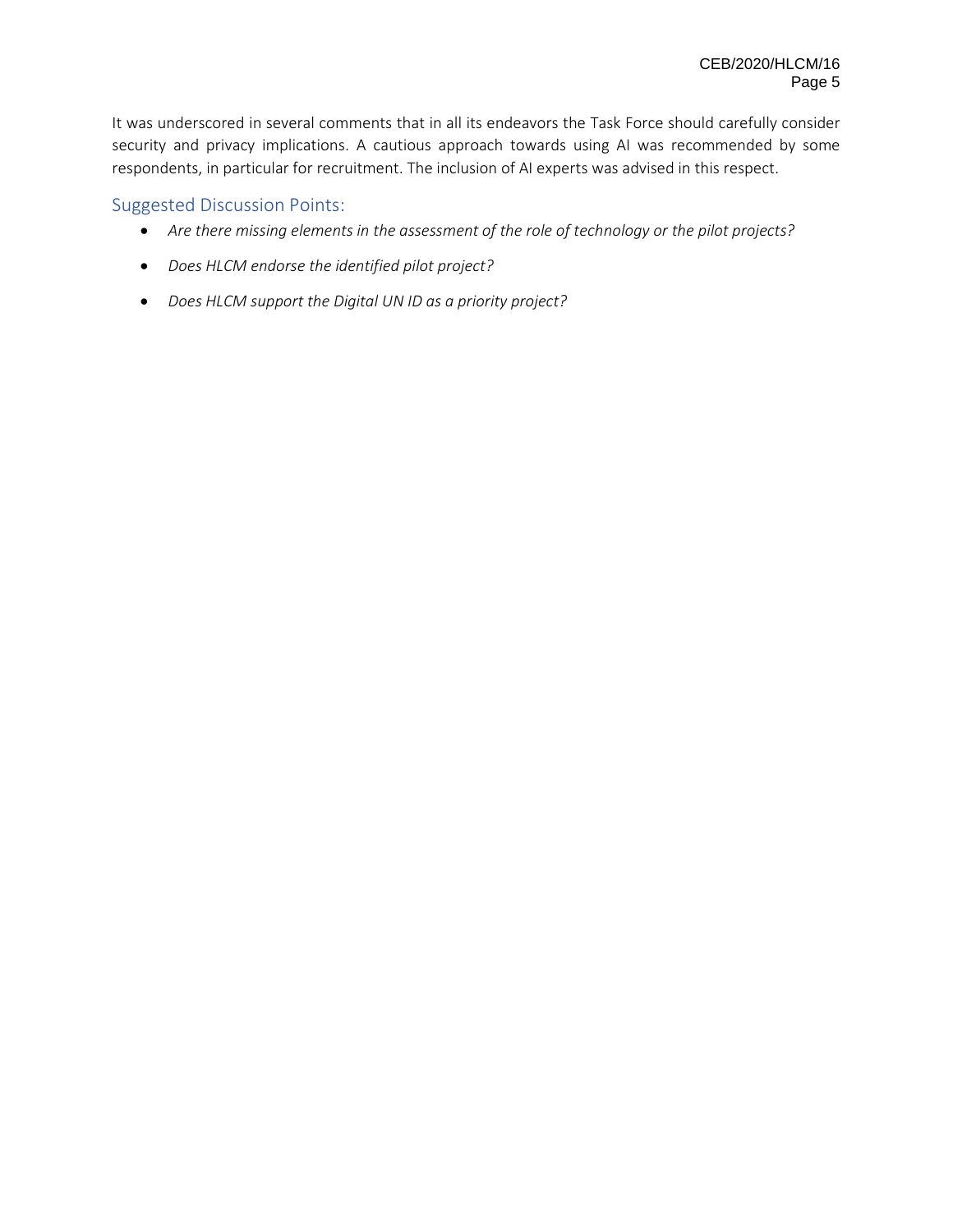It was underscored in several comments that in all its endeavors the Task Force should carefully consider security and privacy implications. A cautious approach towards using AI was recommended by some respondents, in particular for recruitment. The inclusion of AI experts was advised in this respect.

#### Suggested Discussion Points:

- *Are there missing elements in the assessment of the role of technology or the pilot projects?*
- *Does HLCM endorse the identified pilot project?*
- *Does HLCM support the Digital UN ID as a priority project?*